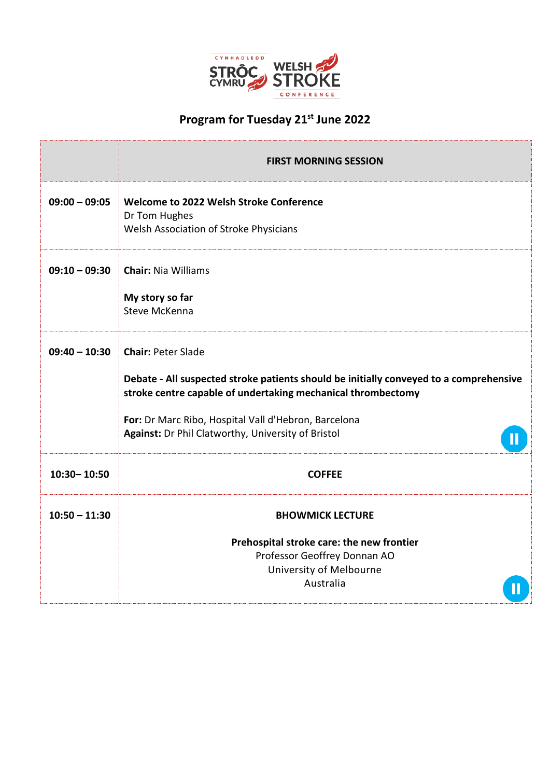

## **Program for Tuesday 21st June 2022**

|                 | <b>FIRST MORNING SESSION</b>                                                                                                                                                                                                                                                                           |  |  |
|-----------------|--------------------------------------------------------------------------------------------------------------------------------------------------------------------------------------------------------------------------------------------------------------------------------------------------------|--|--|
| $09:00 - 09:05$ | Welcome to 2022 Welsh Stroke Conference<br>Dr Tom Hughes<br>Welsh Association of Stroke Physicians                                                                                                                                                                                                     |  |  |
| $09:10 - 09:30$ | <b>Chair: Nia Williams</b><br>My story so far<br>Steve McKenna                                                                                                                                                                                                                                         |  |  |
| $09:40 - 10:30$ | <b>Chair: Peter Slade</b><br>Debate - All suspected stroke patients should be initially conveyed to a comprehensive<br>stroke centre capable of undertaking mechanical thrombectomy<br>For: Dr Marc Ribo, Hospital Vall d'Hebron, Barcelona<br>Against: Dr Phil Clatworthy, University of Bristol<br>П |  |  |
| 10:30-10:50     | <b>COFFEE</b>                                                                                                                                                                                                                                                                                          |  |  |
| $10:50 - 11:30$ | <b>BHOWMICK LECTURE</b>                                                                                                                                                                                                                                                                                |  |  |
|                 | Prehospital stroke care: the new frontier<br>Professor Geoffrey Donnan AO<br>University of Melbourne<br>Australia                                                                                                                                                                                      |  |  |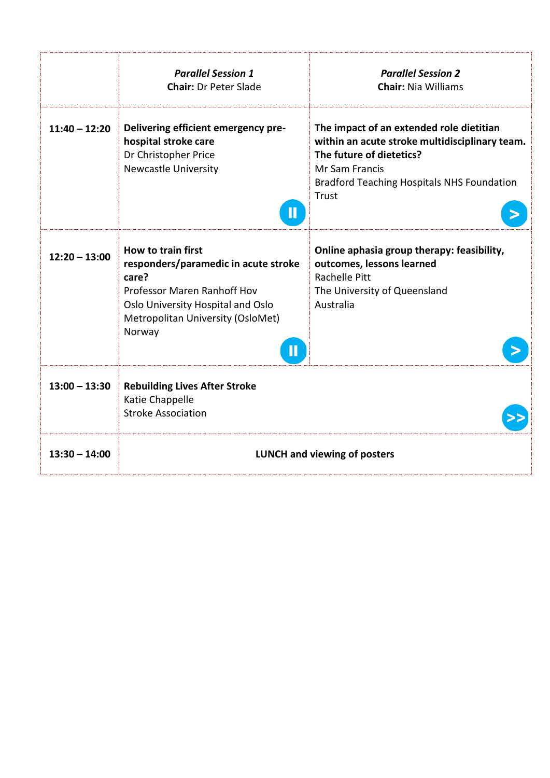|                 | <b>Parallel Session 1</b><br><b>Chair: Dr Peter Slade</b>                                                                                                                                     | <b>Parallel Session 2</b><br><b>Chair: Nia Williams</b>                                                                                                                                                |  |
|-----------------|-----------------------------------------------------------------------------------------------------------------------------------------------------------------------------------------------|--------------------------------------------------------------------------------------------------------------------------------------------------------------------------------------------------------|--|
| $11:40 - 12:20$ | Delivering efficient emergency pre-<br>hospital stroke care<br>Dr Christopher Price<br><b>Newcastle University</b><br>П                                                                       | The impact of an extended role dietitian<br>within an acute stroke multidisciplinary team.<br>The future of dietetics?<br>Mr Sam Francis<br><b>Bradford Teaching Hospitals NHS Foundation</b><br>Trust |  |
| $12:20 - 13:00$ | How to train first<br>responders/paramedic in acute stroke<br>care?<br><b>Professor Maren Ranhoff Hov</b><br>Oslo University Hospital and Oslo<br>Metropolitan University (OsloMet)<br>Norway | Online aphasia group therapy: feasibility,<br>outcomes, lessons learned<br>Rachelle Pitt<br>The University of Queensland<br>Australia                                                                  |  |
| $13:00 - 13:30$ | <b>Rebuilding Lives After Stroke</b><br>Katie Chappelle<br><b>Stroke Association</b>                                                                                                          |                                                                                                                                                                                                        |  |
| $13:30 - 14:00$ | <b>LUNCH and viewing of posters</b>                                                                                                                                                           |                                                                                                                                                                                                        |  |